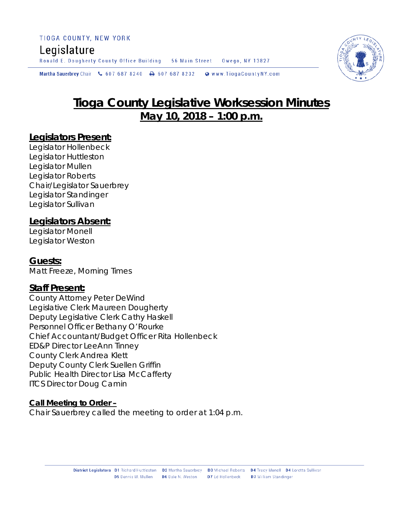#### TIOGA COUNTY, NEW YORK

## Legislature

Ronald E. Dougherty County Office Building 56 Main Street Owego, NY 13827

Martha Sauerbrey Chair & 607 687 8240  $\rightarrow$  607 687 8232 Www.TiogaCountyNY.com

# **Tioga County Legislative Worksession Minutes May 10, 2018 – 1:00 p.m.**

### **Legislators Present:**

Legislator Hollenbeck Legislator Huttleston Legislator Mullen Legislator Roberts Chair/Legislator Sauerbrey Legislator Standinger Legislator Sullivan

### **Legislators Absent:**

Legislator Monell Legislator Weston

**Guests:** Matt Freeze, Morning Times

### **Staff Present:**

County Attorney Peter DeWind Legislative Clerk Maureen Dougherty Deputy Legislative Clerk Cathy Haskell Personnel Officer Bethany O'Rourke Chief Accountant/Budget Officer Rita Hollenbeck ED&P Director LeeAnn Tinney County Clerk Andrea Klett Deputy County Clerk Suellen Griffin Public Health Director Lisa McCafferty ITCS Director Doug Camin

#### **Call Meeting to Order –**

Chair Sauerbrey called the meeting to order at 1:04 p.m.

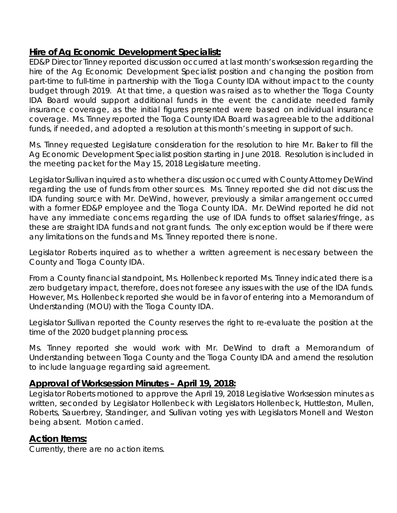## **Hire of Ag Economic Development Specialist:**

ED&P Director Tinney reported discussion occurred at last month's worksession regarding the hire of the Ag Economic Development Specialist position and changing the position from part-time to full-time in partnership with the Tioga County IDA without impact to the county budget through 2019. At that time, a question was raised as to whether the Tioga County IDA Board would support additional funds in the event the candidate needed family insurance coverage, as the initial figures presented were based on individual insurance coverage. Ms. Tinney reported the Tioga County IDA Board was agreeable to the additional funds, if needed, and adopted a resolution at this month's meeting in support of such.

Ms. Tinney requested Legislature consideration for the resolution to hire Mr. Baker to fill the Ag Economic Development Specialist position starting in June 2018. Resolution is included in the meeting packet for the May 15, 2018 Legislature meeting.

Legislator Sullivan inquired as to whether a discussion occurred with County Attorney DeWind regarding the use of funds from other sources. Ms. Tinney reported she did not discuss the IDA funding source with Mr. DeWind, however, previously a similar arrangement occurred with a former ED&P employee and the Tioga County IDA. Mr. DeWind reported he did not have any immediate concerns regarding the use of IDA funds to offset salaries/fringe, as these are straight IDA funds and not grant funds. The only exception would be if there were any limitations on the funds and Ms. Tinney reported there is none.

Legislator Roberts inquired as to whether a written agreement is necessary between the County and Tioga County IDA.

From a County financial standpoint, Ms. Hollenbeck reported Ms. Tinney indicated there is a zero budgetary impact, therefore, does not foresee any issues with the use of the IDA funds. However, Ms. Hollenbeck reported she would be in favor of entering into a Memorandum of Understanding (MOU) with the Tioga County IDA.

Legislator Sullivan reported the County reserves the right to re-evaluate the position at the time of the 2020 budget planning process.

Ms. Tinney reported she would work with Mr. DeWind to draft a Memorandum of Understanding between Tioga County and the Tioga County IDA and amend the resolution to include language regarding said agreement.

## **Approval of Worksession Minutes – April 19, 2018:**

Legislator Roberts motioned to approve the April 19, 2018 Legislative Worksession minutes as written, seconded by Legislator Hollenbeck with Legislators Hollenbeck, Huttleston, Mullen, Roberts, Sauerbrey, Standinger, and Sullivan voting yes with Legislators Monell and Weston being absent. Motion carried.

## **Action Items:**

Currently, there are no action items.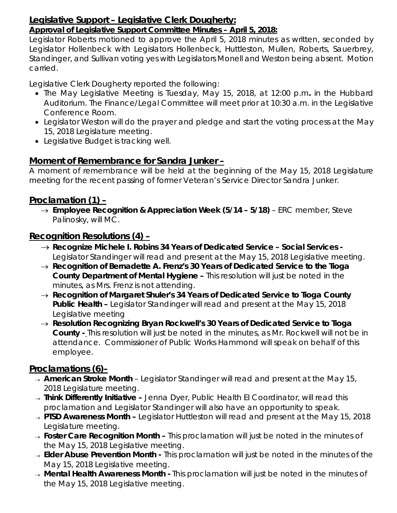#### **Legislative Support – Legislative Clerk Dougherty:**  *Approval of Legislative Support Committee Minutes – April 5, 2018:*

Legislator Roberts motioned to approve the April 5, 2018 minutes as written, seconded by Legislator Hollenbeck with Legislators Hollenbeck, Huttleston, Mullen, Roberts, Sauerbrey, Standinger, and Sullivan voting yes with Legislators Monell and Weston being absent. Motion carried.

Legislative Clerk Dougherty reported the following:

- The May Legislative Meeting is Tuesday, May 15, 2018, at 12:00 p.m*.* in the Hubbard Auditorium. The Finance/Legal Committee will meet prior at 10:30 a.m. in the Legislative Conference Room.
- Legislator Weston will do the prayer and pledge and start the voting process at the May 15, 2018 Legislature meeting.
- Legislative Budget is tracking well.

## **Moment of Remembrance for Sandra Junker –**

A moment of remembrance will be held at the beginning of the May 15, 2018 Legislature meeting for the recent passing of former Veteran's Service Director Sandra Junker.

## **Proclamation (1) –**

→ *Employee Recognition & Appreciation Week (5/14 – 5/18)* – ERC member, Steve Palinosky, will MC.

## **Recognition Resolutions (4) –**

- → *Recognize Michele I. Robins 34 Years of Dedicated Service – Social Services -* Legislator Standinger will read and present at the May 15, 2018 Legislative meeting.
- → *Recognition of Bernadette A. Frenz's 30 Years of Dedicated Service to the Tioga County Department of Mental Hygiene –* This resolution will just be noted in the minutes, as Mrs. Frenz is not attending.
- → *Recognition of Margaret Shuler's 34 Years of Dedicated Service to Tioga County Public Health –* Legislator Standinger will read and present at the May 15, 2018 Legislative meeting
- → *Resolution Recognizing Bryan Rockwell's 30 Years of Dedicated Service to Tioga County -* This resolution will just be noted in the minutes, as Mr. Rockwell will not be in attendance. Commissioner of Public Works Hammond will speak on behalf of this employee.

## **Proclamations (6)–**

- <sup>→</sup> *American Stroke Month* Legislator Standinger will read and present at the May 15, 2018 Legislature meeting.
- <sup>→</sup> *Think Differently Initiative –* Jenna Dyer, Public Health EI Coordinator, will read this proclamation and Legislator Standinger will also have an opportunity to speak.
- <sup>→</sup> *PTSD Awareness Month –* Legislator Huttleston will read and present at the May 15, 2018 Legislature meeting.
- <sup>→</sup> *Foster Care Recognition Month –* This proclamation will just be noted in the minutes of the May 15, 2018 Legislative meeting.
- <sup>→</sup> *Elder Abuse Prevention Month -* This proclamation will just be noted in the minutes of the May 15, 2018 Legislative meeting.
- <sup>→</sup> *Mental Health Awareness Month -* This proclamation will just be noted in the minutes of the May 15, 2018 Legislative meeting.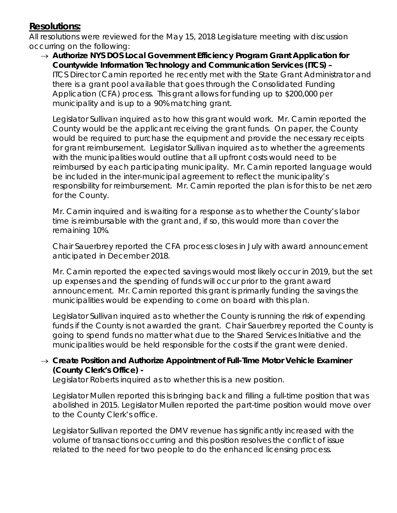## **Resolutions:**

All resolutions were reviewed for the May 15, 2018 Legislature meeting with discussion occurring on the following:

→ *Authorize NYS DOS Local Government Efficiency Program Grant Application for Countywide Information Technology and Communication Services (ITCS) –*  ITCS Director Camin reported he recently met with the State Grant Administrator and there is a grant pool available that goes through the Consolidated Funding Application (CFA) process. This grant allows for funding up to \$200,000 per municipality and is up to a 90% matching grant.

Legislator Sullivan inquired as to how this grant would work. Mr. Camin reported the County would be the applicant receiving the grant funds. On paper, the County would be required to purchase the equipment and provide the necessary receipts for grant reimbursement. Legislator Sullivan inquired as to whether the agreements with the municipalities would outline that all upfront costs would need to be reimbursed by each participating municipality. Mr. Camin reported language would be included in the inter-municipal agreement to reflect the municipality's responsibility for reimbursement. Mr. Camin reported the plan is for this to be net zero for the County.

Mr. Camin inquired and is waiting for a response as to whether the County's labor time is reimbursable with the grant and, if so, this would more than cover the remaining 10%.

Chair Sauerbrey reported the CFA process closes in July with award announcement anticipated in December 2018.

Mr. Camin reported the expected savings would most likely occur in 2019, but the set up expenses and the spending of funds will occur prior to the grant award announcement. Mr. Camin reported this grant is primarily funding the savings the municipalities would be expending to come on board with this plan.

Legislator Sullivan inquired as to whether the County is running the risk of expending funds if the County is not awarded the grant. Chair Sauerbrey reported the County is going to spend funds no matter what due to the Shared Services Initiative and the municipalities would be held responsible for the costs if the grant were denied.

#### → *Create Position and Authorize Appointment of Full-Time Motor Vehicle Examiner (County Clerk's Office) -*

Legislator Roberts inquired as to whether this is a new position.

Legislator Mullen reported this is bringing back and filling a full-time position that was abolished in 2015. Legislator Mullen reported the part-time position would move over to the County Clerk's office.

Legislator Sullivan reported the DMV revenue has significantly increased with the volume of transactions occurring and this position resolves the conflict of issue related to the need for two people to do the enhanced licensing process.